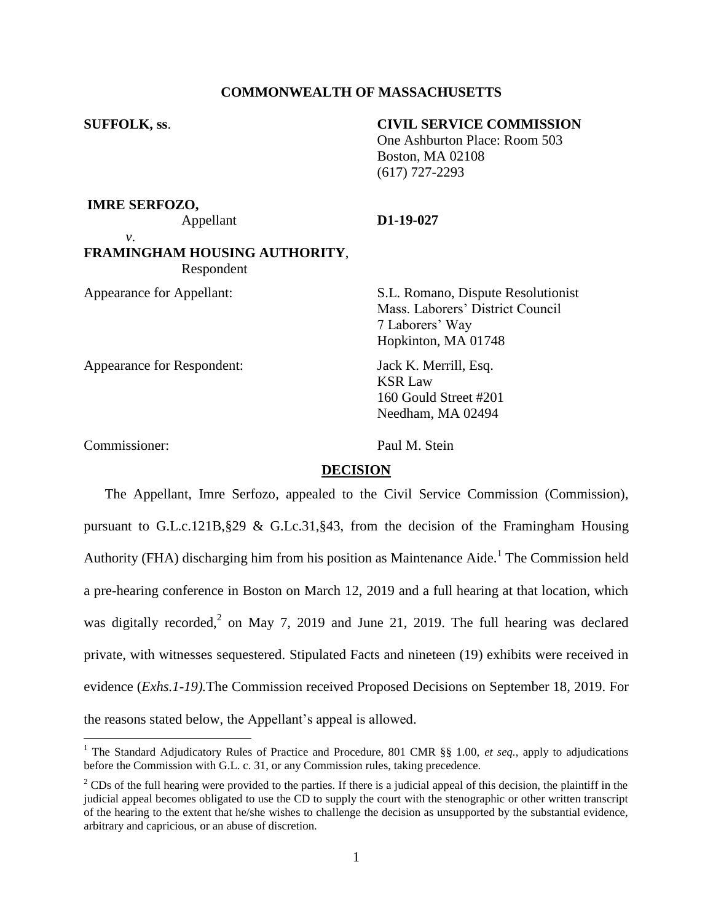# **COMMONWEALTH OF MASSACHUSETTS**

# **SUFFOLK, ss**. **CIVIL SERVICE COMMISSION**

One Ashburton Place: Room 503 Boston, MA 02108 (617) 727-2293

**IMRE SERFOZO,**

### Appellant **D1-19-027**

*v*.

# **FRAMINGHAM HOUSING AUTHORITY**,

 Respondent Appearance for Appellant: S.L. Romano, Dispute Resolutionist

Appearance for Respondent: Jack K. Merrill, Esq.

Mass. Laborers' District Council 7 Laborers' Way Hopkinton, MA 01748

KSR Law 160 Gould Street #201 Needham, MA 02494

 $\overline{a}$ 

Commissioner: Paul M. Stein

# **DECISION**

The Appellant, Imre Serfozo, appealed to the Civil Service Commission (Commission), pursuant to G.L.c.121B,  $\S 29 \& G.Lc.31$ ,  $\S 43$ , from the decision of the Framingham Housing Authority (FHA) discharging him from his position as Maintenance Aide.<sup>1</sup> The Commission held a pre-hearing conference in Boston on March 12, 2019 and a full hearing at that location, which was digitally recorded,<sup>2</sup> on May 7, 2019 and June 21, 2019. The full hearing was declared private, with witnesses sequestered. Stipulated Facts and nineteen (19) exhibits were received in evidence (*Exhs.1-19).*The Commission received Proposed Decisions on September 18, 2019. For the reasons stated below, the Appellant's appeal is allowed.

<sup>&</sup>lt;sup>1</sup> The Standard Adjudicatory Rules of Practice and Procedure, 801 CMR §§ 1.00, *et seq.*, apply to adjudications before the Commission with G.L. c. 31, or any Commission rules, taking precedence.

 $2^2$  CDs of the full hearing were provided to the parties. If there is a judicial appeal of this decision, the plaintiff in the judicial appeal becomes obligated to use the CD to supply the court with the stenographic or other written transcript of the hearing to the extent that he/she wishes to challenge the decision as unsupported by the substantial evidence, arbitrary and capricious, or an abuse of discretion.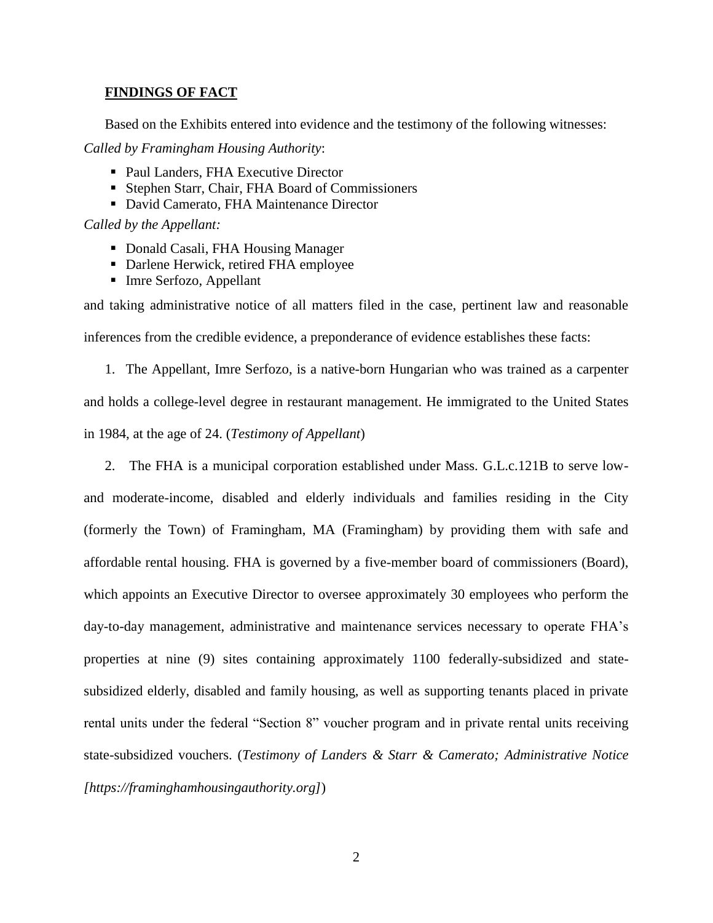# **FINDINGS OF FACT**

Based on the Exhibits entered into evidence and the testimony of the following witnesses:

*Called by Framingham Housing Authority*:

- Paul Landers, FHA Executive Director
- Stephen Starr, Chair, FHA Board of Commissioners
- David Camerato, FHA Maintenance Director

*Called by the Appellant:*

- Donald Casali, FHA Housing Manager
- Darlene Herwick, retired FHA employee
- Imre Serfozo, Appellant

and taking administrative notice of all matters filed in the case, pertinent law and reasonable inferences from the credible evidence, a preponderance of evidence establishes these facts:

1. The Appellant, Imre Serfozo, is a native-born Hungarian who was trained as a carpenter and holds a college-level degree in restaurant management. He immigrated to the United States in 1984, at the age of 24. (*Testimony of Appellant*)

2. The FHA is a municipal corporation established under Mass. G.L.c.121B to serve lowand moderate-income, disabled and elderly individuals and families residing in the City (formerly the Town) of Framingham, MA (Framingham) by providing them with safe and affordable rental housing. FHA is governed by a five-member board of commissioners (Board), which appoints an Executive Director to oversee approximately 30 employees who perform the day-to-day management, administrative and maintenance services necessary to operate FHA's properties at nine (9) sites containing approximately 1100 federally-subsidized and statesubsidized elderly, disabled and family housing, as well as supporting tenants placed in private rental units under the federal "Section 8" voucher program and in private rental units receiving state-subsidized vouchers. (*Testimony of Landers & Starr & Camerato; Administrative Notice [https://framinghamhousingauthority.org]*)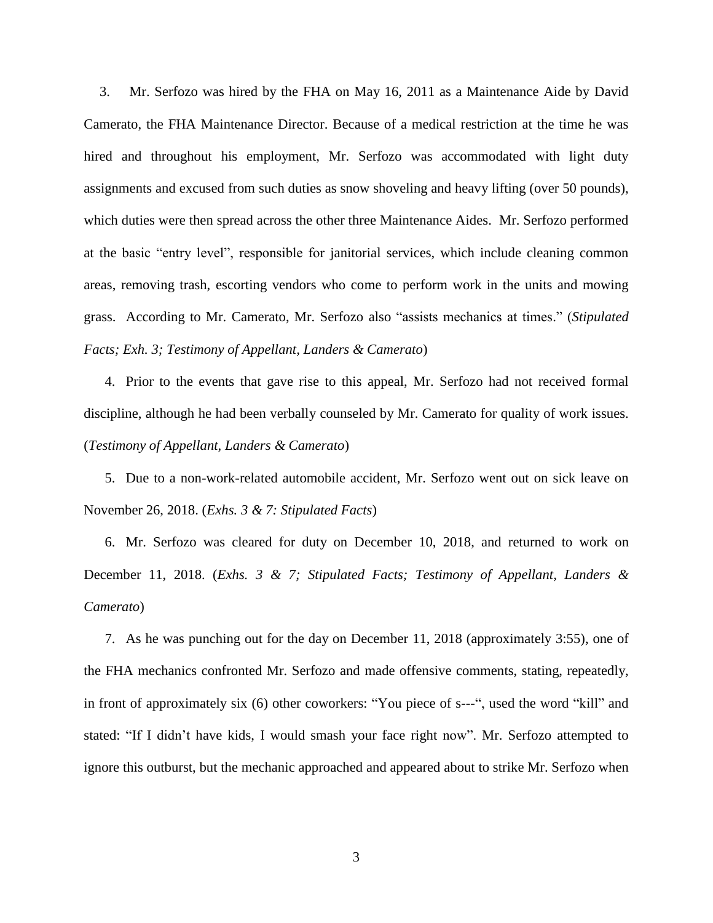3. Mr. Serfozo was hired by the FHA on May 16, 2011 as a Maintenance Aide by David Camerato, the FHA Maintenance Director. Because of a medical restriction at the time he was hired and throughout his employment, Mr. Serfozo was accommodated with light duty assignments and excused from such duties as snow shoveling and heavy lifting (over 50 pounds), which duties were then spread across the other three Maintenance Aides. Mr. Serfozo performed at the basic "entry level", responsible for janitorial services, which include cleaning common areas, removing trash, escorting vendors who come to perform work in the units and mowing grass. According to Mr. Camerato, Mr. Serfozo also "assists mechanics at times." (*Stipulated Facts; Exh. 3; Testimony of Appellant, Landers & Camerato*)

4. Prior to the events that gave rise to this appeal, Mr. Serfozo had not received formal discipline, although he had been verbally counseled by Mr. Camerato for quality of work issues. (*Testimony of Appellant, Landers & Camerato*)

5. Due to a non-work-related automobile accident, Mr. Serfozo went out on sick leave on November 26, 2018. (*Exhs. 3 & 7: Stipulated Facts*)

6. Mr. Serfozo was cleared for duty on December 10, 2018, and returned to work on December 11, 2018. (*Exhs. 3 & 7; Stipulated Facts; Testimony of Appellant, Landers & Camerato*)

7. As he was punching out for the day on December 11, 2018 (approximately 3:55), one of the FHA mechanics confronted Mr. Serfozo and made offensive comments, stating, repeatedly, in front of approximately six (6) other coworkers: "You piece of s---", used the word "kill" and stated: "If I didn't have kids, I would smash your face right now". Mr. Serfozo attempted to ignore this outburst, but the mechanic approached and appeared about to strike Mr. Serfozo when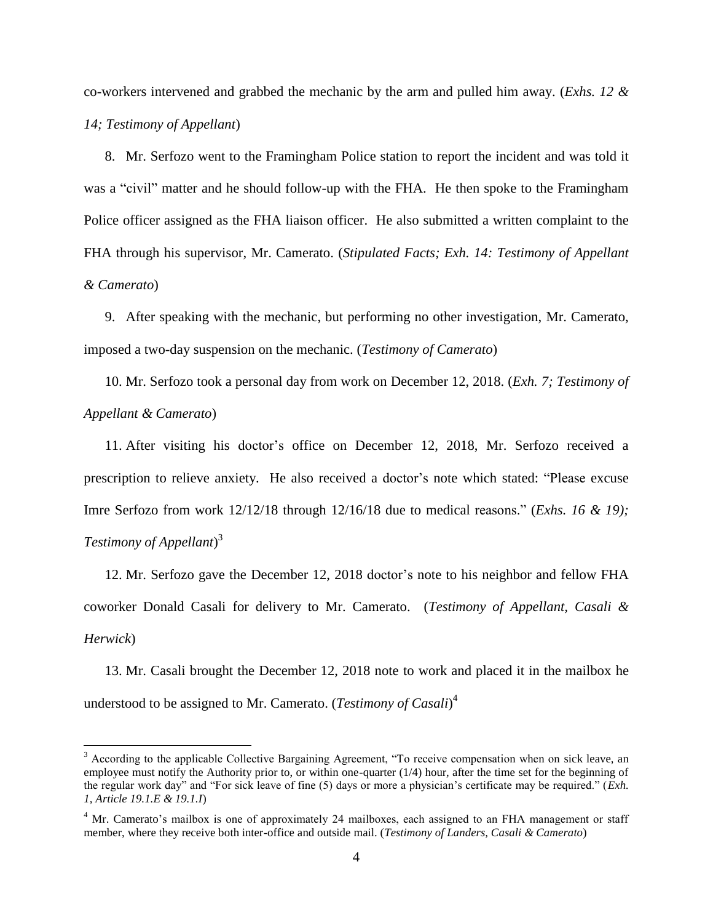co-workers intervened and grabbed the mechanic by the arm and pulled him away. (*Exhs. 12 & 14; Testimony of Appellant*)

8. Mr. Serfozo went to the Framingham Police station to report the incident and was told it was a "civil" matter and he should follow-up with the FHA. He then spoke to the Framingham Police officer assigned as the FHA liaison officer. He also submitted a written complaint to the FHA through his supervisor, Mr. Camerato. (*Stipulated Facts; Exh. 14: Testimony of Appellant & Camerato*)

9. After speaking with the mechanic, but performing no other investigation, Mr. Camerato, imposed a two-day suspension on the mechanic. (*Testimony of Camerato*)

10. Mr. Serfozo took a personal day from work on December 12, 2018. (*Exh. 7; Testimony of Appellant & Camerato*)

11. After visiting his doctor's office on December 12, 2018, Mr. Serfozo received a prescription to relieve anxiety. He also received a doctor's note which stated: "Please excuse Imre Serfozo from work 12/12/18 through 12/16/18 due to medical reasons." (*Exhs. 16 & 19); Testimony of Appellant*) 3

12. Mr. Serfozo gave the December 12, 2018 doctor's note to his neighbor and fellow FHA coworker Donald Casali for delivery to Mr. Camerato. (*Testimony of Appellant, Casali & Herwick*)

13. Mr. Casali brought the December 12, 2018 note to work and placed it in the mailbox he understood to be assigned to Mr. Camerato. (*Testimony of Casali*) 4

 $\overline{a}$ 

<sup>&</sup>lt;sup>3</sup> According to the applicable Collective Bargaining Agreement, "To receive compensation when on sick leave, an employee must notify the Authority prior to, or within one-quarter  $(1/4)$  hour, after the time set for the beginning of the regular work day" and "For sick leave of fine (5) days or more a physician's certificate may be required." (*Exh. 1, Article 19.1.E & 19.1.I*)

<sup>&</sup>lt;sup>4</sup> Mr. Camerato's mailbox is one of approximately 24 mailboxes, each assigned to an FHA management or staff member, where they receive both inter-office and outside mail. (*Testimony of Landers, Casali & Camerato*)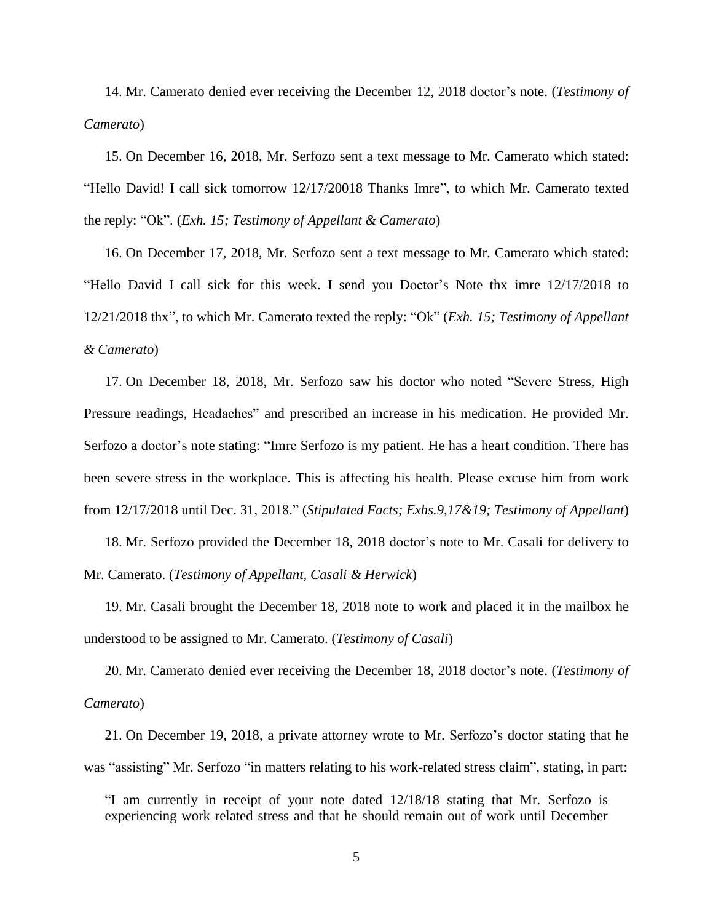14. Mr. Camerato denied ever receiving the December 12, 2018 doctor's note. (*Testimony of Camerato*)

15. On December 16, 2018, Mr. Serfozo sent a text message to Mr. Camerato which stated: "Hello David! I call sick tomorrow 12/17/20018 Thanks Imre", to which Mr. Camerato texted the reply: "Ok". (*Exh. 15; Testimony of Appellant & Camerato*)

16. On December 17, 2018, Mr. Serfozo sent a text message to Mr. Camerato which stated: "Hello David I call sick for this week. I send you Doctor's Note thx imre 12/17/2018 to 12/21/2018 thx", to which Mr. Camerato texted the reply: "Ok" (*Exh. 15; Testimony of Appellant & Camerato*)

17. On December 18, 2018, Mr. Serfozo saw his doctor who noted "Severe Stress, High Pressure readings, Headaches" and prescribed an increase in his medication. He provided Mr. Serfozo a doctor's note stating: "Imre Serfozo is my patient. He has a heart condition. There has been severe stress in the workplace. This is affecting his health. Please excuse him from work from 12/17/2018 until Dec. 31, 2018." (*Stipulated Facts; Exhs.9,17&19; Testimony of Appellant*)

18. Mr. Serfozo provided the December 18, 2018 doctor's note to Mr. Casali for delivery to Mr. Camerato. (*Testimony of Appellant, Casali & Herwick*)

19. Mr. Casali brought the December 18, 2018 note to work and placed it in the mailbox he understood to be assigned to Mr. Camerato. (*Testimony of Casali*)

20. Mr. Camerato denied ever receiving the December 18, 2018 doctor's note. (*Testimony of Camerato*)

21. On December 19, 2018, a private attorney wrote to Mr. Serfozo's doctor stating that he was "assisting" Mr. Serfozo "in matters relating to his work-related stress claim", stating, in part:

"I am currently in receipt of your note dated 12/18/18 stating that Mr. Serfozo is experiencing work related stress and that he should remain out of work until December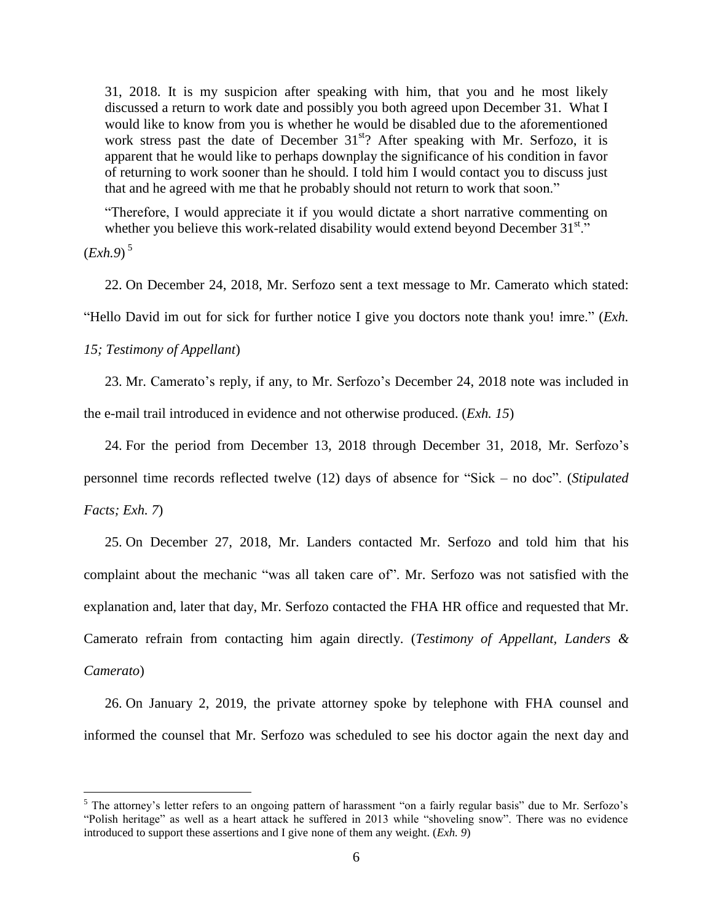31, 2018. It is my suspicion after speaking with him, that you and he most likely discussed a return to work date and possibly you both agreed upon December 31. What I would like to know from you is whether he would be disabled due to the aforementioned work stress past the date of December  $31<sup>st</sup>$ ? After speaking with Mr. Serfozo, it is apparent that he would like to perhaps downplay the significance of his condition in favor of returning to work sooner than he should. I told him I would contact you to discuss just that and he agreed with me that he probably should not return to work that soon."

"Therefore, I would appreciate it if you would dictate a short narrative commenting on whether you believe this work-related disability would extend beyond December  $31<sup>st</sup>$ ."

(*Exh.9*) 5

 $\overline{a}$ 

22. On December 24, 2018, Mr. Serfozo sent a text message to Mr. Camerato which stated:

"Hello David im out for sick for further notice I give you doctors note thank you! imre." (*Exh.*

*15; Testimony of Appellant*)

23. Mr. Camerato's reply, if any, to Mr. Serfozo's December 24, 2018 note was included in the e-mail trail introduced in evidence and not otherwise produced. (*Exh. 15*)

24. For the period from December 13, 2018 through December 31, 2018, Mr. Serfozo's personnel time records reflected twelve (12) days of absence for "Sick – no doc". (*Stipulated Facts; Exh. 7*)

25. On December 27, 2018, Mr. Landers contacted Mr. Serfozo and told him that his complaint about the mechanic "was all taken care of". Mr. Serfozo was not satisfied with the explanation and, later that day, Mr. Serfozo contacted the FHA HR office and requested that Mr. Camerato refrain from contacting him again directly. (*Testimony of Appellant, Landers & Camerato*)

26. On January 2, 2019, the private attorney spoke by telephone with FHA counsel and informed the counsel that Mr. Serfozo was scheduled to see his doctor again the next day and

<sup>&</sup>lt;sup>5</sup> The attorney's letter refers to an ongoing pattern of harassment "on a fairly regular basis" due to Mr. Serfozo's "Polish heritage" as well as a heart attack he suffered in 2013 while "shoveling snow". There was no evidence introduced to support these assertions and I give none of them any weight. (*Exh. 9*)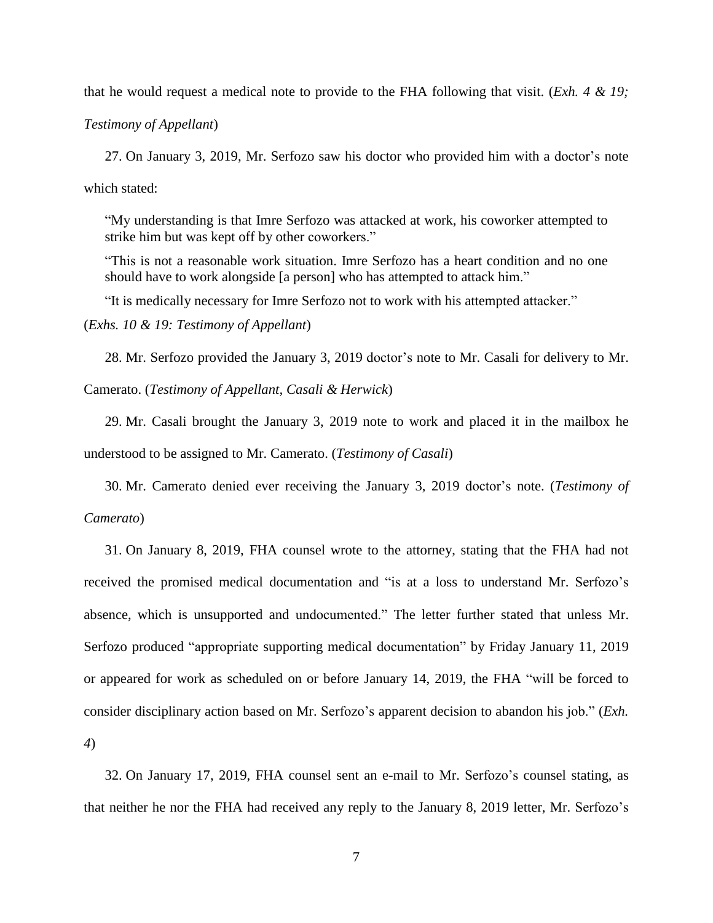that he would request a medical note to provide to the FHA following that visit. (*Exh. 4 & 19;*

*Testimony of Appellant*)

27. On January 3, 2019, Mr. Serfozo saw his doctor who provided him with a doctor's note which stated:

"My understanding is that Imre Serfozo was attacked at work, his coworker attempted to strike him but was kept off by other coworkers."

"This is not a reasonable work situation. Imre Serfozo has a heart condition and no one should have to work alongside [a person] who has attempted to attack him."

"It is medically necessary for Imre Serfozo not to work with his attempted attacker."

(*Exhs. 10 & 19: Testimony of Appellant*)

28. Mr. Serfozo provided the January 3, 2019 doctor's note to Mr. Casali for delivery to Mr. Camerato. (*Testimony of Appellant, Casali & Herwick*)

29. Mr. Casali brought the January 3, 2019 note to work and placed it in the mailbox he understood to be assigned to Mr. Camerato. (*Testimony of Casali*)

30. Mr. Camerato denied ever receiving the January 3, 2019 doctor's note. (*Testimony of Camerato*)

31. On January 8, 2019, FHA counsel wrote to the attorney, stating that the FHA had not received the promised medical documentation and "is at a loss to understand Mr. Serfozo's absence, which is unsupported and undocumented." The letter further stated that unless Mr. Serfozo produced "appropriate supporting medical documentation" by Friday January 11, 2019 or appeared for work as scheduled on or before January 14, 2019, the FHA "will be forced to consider disciplinary action based on Mr. Serfozo's apparent decision to abandon his job." (*Exh. 4*)

32. On January 17, 2019, FHA counsel sent an e-mail to Mr. Serfozo's counsel stating, as that neither he nor the FHA had received any reply to the January 8, 2019 letter, Mr. Serfozo's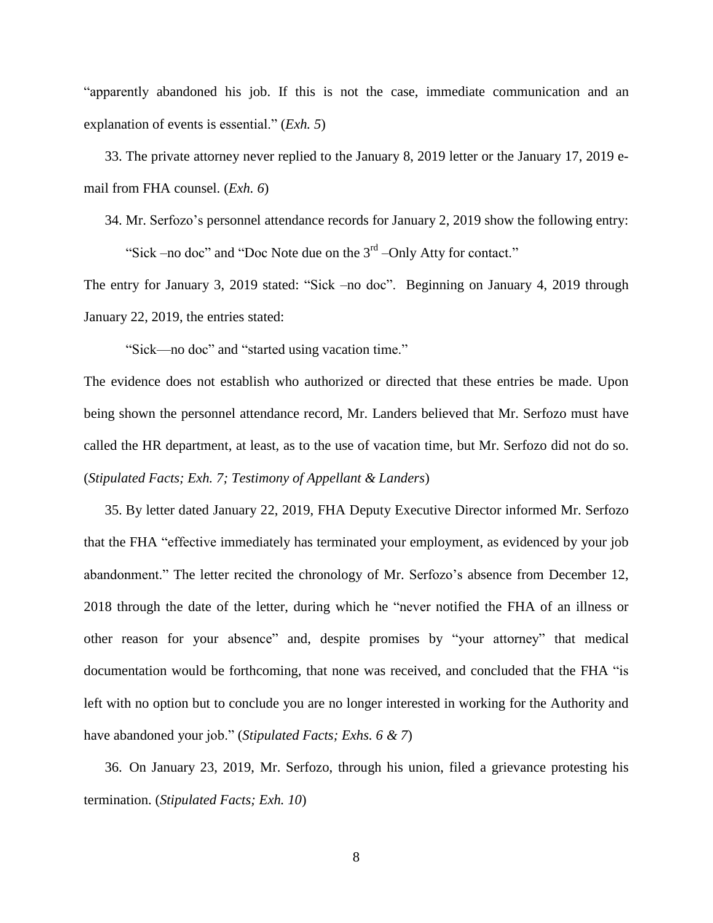"apparently abandoned his job. If this is not the case, immediate communication and an explanation of events is essential." (*Exh. 5*)

33. The private attorney never replied to the January 8, 2019 letter or the January 17, 2019 email from FHA counsel. (*Exh. 6*)

34. Mr. Serfozo's personnel attendance records for January 2, 2019 show the following entry:

"Sick –no doc" and "Doc Note due on the  $3<sup>rd</sup>$  –Only Atty for contact."

The entry for January 3, 2019 stated: "Sick –no doc". Beginning on January 4, 2019 through January 22, 2019, the entries stated:

"Sick—no doc" and "started using vacation time."

The evidence does not establish who authorized or directed that these entries be made. Upon being shown the personnel attendance record, Mr. Landers believed that Mr. Serfozo must have called the HR department, at least, as to the use of vacation time, but Mr. Serfozo did not do so. (*Stipulated Facts; Exh. 7; Testimony of Appellant & Landers*)

35. By letter dated January 22, 2019, FHA Deputy Executive Director informed Mr. Serfozo that the FHA "effective immediately has terminated your employment, as evidenced by your job abandonment." The letter recited the chronology of Mr. Serfozo's absence from December 12, 2018 through the date of the letter, during which he "never notified the FHA of an illness or other reason for your absence" and, despite promises by "your attorney" that medical documentation would be forthcoming, that none was received, and concluded that the FHA "is left with no option but to conclude you are no longer interested in working for the Authority and have abandoned your job." (*Stipulated Facts; Exhs. 6 & 7*)

36. On January 23, 2019, Mr. Serfozo, through his union, filed a grievance protesting his termination. (*Stipulated Facts; Exh. 10*)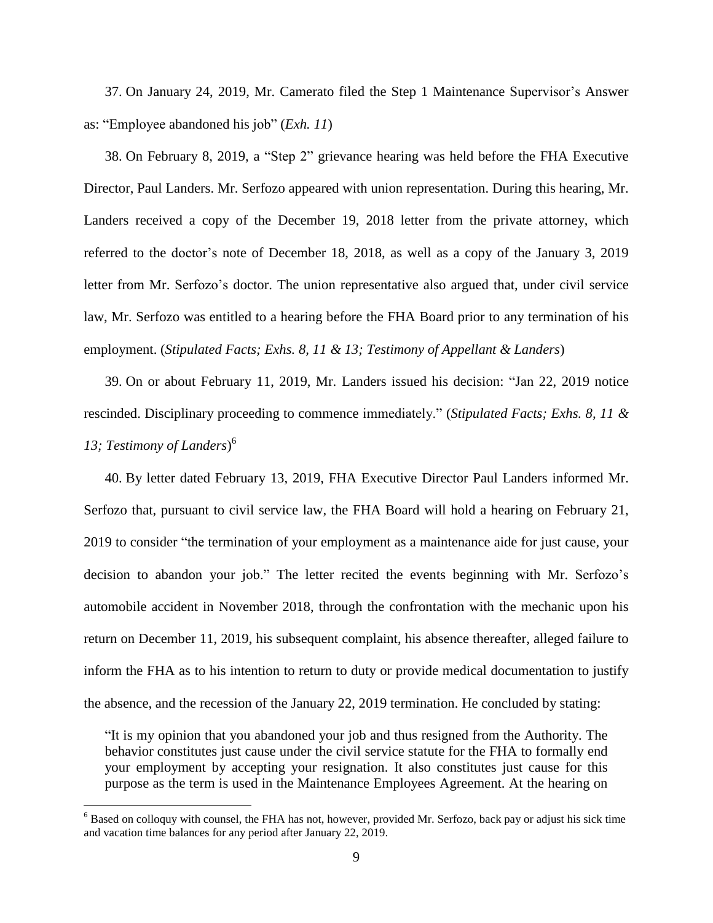37. On January 24, 2019, Mr. Camerato filed the Step 1 Maintenance Supervisor's Answer as: "Employee abandoned his job" (*Exh. 11*)

38. On February 8, 2019, a "Step 2" grievance hearing was held before the FHA Executive Director, Paul Landers. Mr. Serfozo appeared with union representation. During this hearing, Mr. Landers received a copy of the December 19, 2018 letter from the private attorney, which referred to the doctor's note of December 18, 2018, as well as a copy of the January 3, 2019 letter from Mr. Serfozo's doctor. The union representative also argued that, under civil service law, Mr. Serfozo was entitled to a hearing before the FHA Board prior to any termination of his employment. (*Stipulated Facts; Exhs. 8, 11 & 13; Testimony of Appellant & Landers*)

39. On or about February 11, 2019, Mr. Landers issued his decision: "Jan 22, 2019 notice rescinded. Disciplinary proceeding to commence immediately." (*Stipulated Facts; Exhs. 8, 11 & 13; Testimony of Landers*) 6

40. By letter dated February 13, 2019, FHA Executive Director Paul Landers informed Mr. Serfozo that, pursuant to civil service law, the FHA Board will hold a hearing on February 21, 2019 to consider "the termination of your employment as a maintenance aide for just cause, your decision to abandon your job." The letter recited the events beginning with Mr. Serfozo's automobile accident in November 2018, through the confrontation with the mechanic upon his return on December 11, 2019, his subsequent complaint, his absence thereafter, alleged failure to inform the FHA as to his intention to return to duty or provide medical documentation to justify the absence, and the recession of the January 22, 2019 termination. He concluded by stating:

"It is my opinion that you abandoned your job and thus resigned from the Authority. The behavior constitutes just cause under the civil service statute for the FHA to formally end your employment by accepting your resignation. It also constitutes just cause for this purpose as the term is used in the Maintenance Employees Agreement. At the hearing on

 $\overline{a}$ 

 $6$  Based on colloquy with counsel, the FHA has not, however, provided Mr. Serfozo, back pay or adjust his sick time and vacation time balances for any period after January 22, 2019.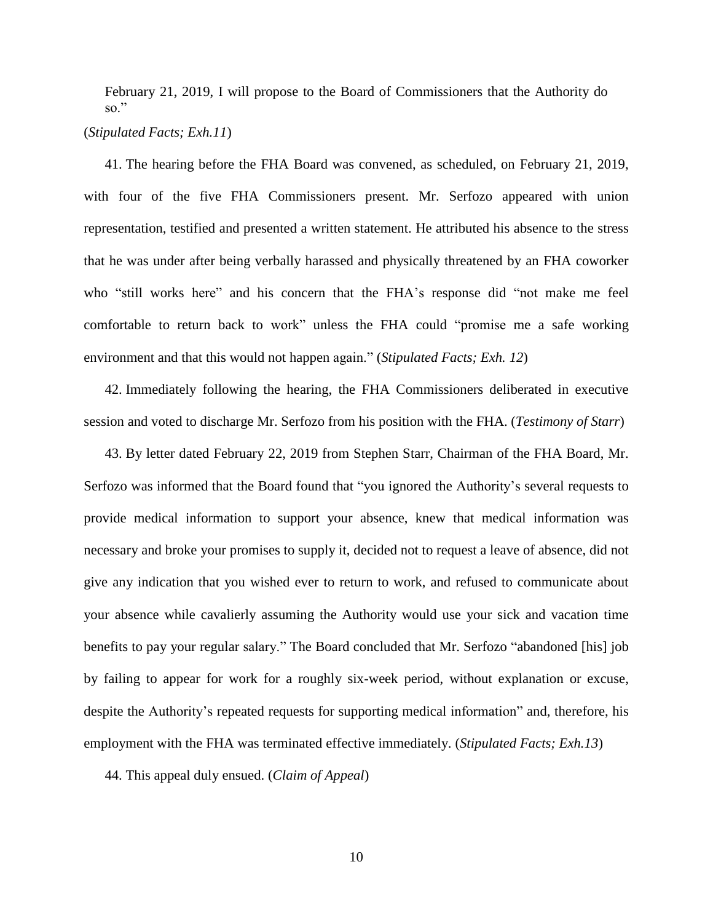February 21, 2019, I will propose to the Board of Commissioners that the Authority do so."

### (*Stipulated Facts; Exh.11*)

41. The hearing before the FHA Board was convened, as scheduled, on February 21, 2019, with four of the five FHA Commissioners present. Mr. Serfozo appeared with union representation, testified and presented a written statement. He attributed his absence to the stress that he was under after being verbally harassed and physically threatened by an FHA coworker who "still works here" and his concern that the FHA's response did "not make me feel comfortable to return back to work" unless the FHA could "promise me a safe working environment and that this would not happen again." (*Stipulated Facts; Exh. 12*)

42. Immediately following the hearing, the FHA Commissioners deliberated in executive session and voted to discharge Mr. Serfozo from his position with the FHA. (*Testimony of Starr*)

43. By letter dated February 22, 2019 from Stephen Starr, Chairman of the FHA Board, Mr. Serfozo was informed that the Board found that "you ignored the Authority's several requests to provide medical information to support your absence, knew that medical information was necessary and broke your promises to supply it, decided not to request a leave of absence, did not give any indication that you wished ever to return to work, and refused to communicate about your absence while cavalierly assuming the Authority would use your sick and vacation time benefits to pay your regular salary." The Board concluded that Mr. Serfozo "abandoned [his] job by failing to appear for work for a roughly six-week period, without explanation or excuse, despite the Authority's repeated requests for supporting medical information" and, therefore, his employment with the FHA was terminated effective immediately. (*Stipulated Facts; Exh.13*)

44. This appeal duly ensued. (*Claim of Appeal*)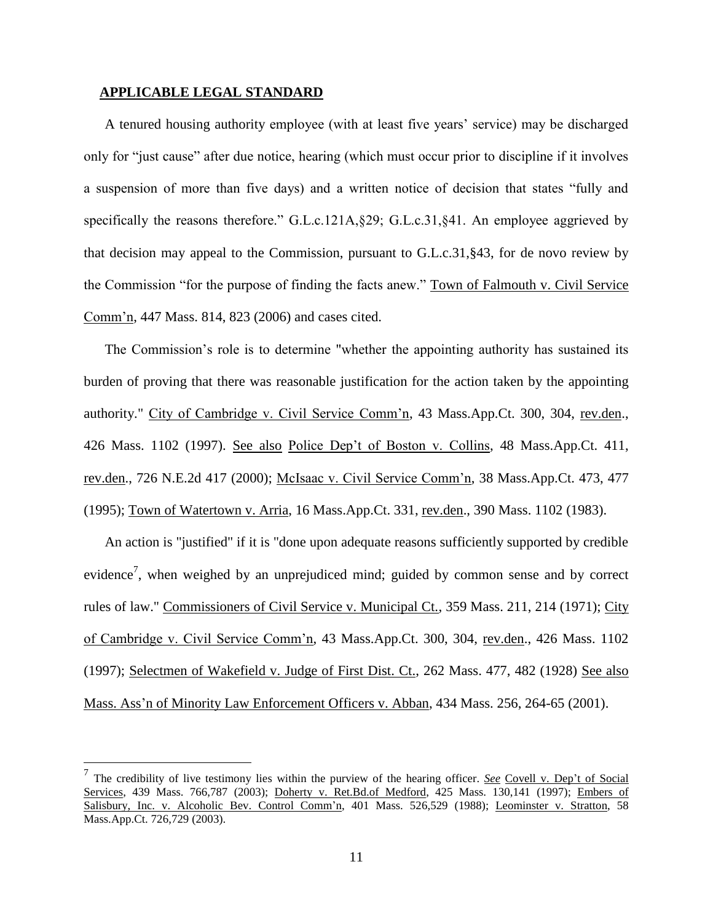## **APPLICABLE LEGAL STANDARD**

 $\overline{a}$ 

A tenured housing authority employee (with at least five years' service) may be discharged only for "just cause" after due notice, hearing (which must occur prior to discipline if it involves a suspension of more than five days) and a written notice of decision that states "fully and specifically the reasons therefore." G.L.c.121A, §29; G.L.c.31, §41. An employee aggrieved by that decision may appeal to the Commission, pursuant to G.L.c.31,§43, for de novo review by the Commission "for the purpose of finding the facts anew." Town of Falmouth v. Civil Service Comm'n, 447 Mass. 814, 823 (2006) and cases cited.

The Commission's role is to determine "whether the appointing authority has sustained its burden of proving that there was reasonable justification for the action taken by the appointing authority." City of Cambridge v. Civil Service Comm'n, 43 Mass.App.Ct. 300, 304, rev.den., 426 Mass. 1102 (1997). See also Police Dep't of Boston v. Collins, 48 Mass.App.Ct. 411, rev.den., 726 N.E.2d 417 (2000); McIsaac v. Civil Service Comm'n, 38 Mass.App.Ct. 473, 477 (1995); Town of Watertown v. Arria, 16 Mass.App.Ct. 331, rev.den., 390 Mass. 1102 (1983).

An action is "justified" if it is "done upon adequate reasons sufficiently supported by credible evidence<sup>7</sup>, when weighed by an unprejudiced mind; guided by common sense and by correct rules of law." Commissioners of Civil Service v. Municipal Ct., 359 Mass. 211, 214 (1971); City of Cambridge v. Civil Service Comm'n, 43 Mass.App.Ct. 300, 304, rev.den., 426 Mass. 1102 (1997); Selectmen of Wakefield v. Judge of First Dist. Ct., 262 Mass. 477, 482 (1928) See also Mass. Ass'n of Minority Law Enforcement Officers v. Abban, 434 Mass. 256, 264-65 (2001).

<sup>7</sup> The credibility of live testimony lies within the purview of the hearing officer. *See* Covell v. Dep't of Social Services, 439 Mass. 766,787 (2003); Doherty v. Ret.Bd.of Medford, 425 Mass. 130,141 (1997); Embers of Salisbury, Inc. v. Alcoholic Bev. Control Comm'n, 401 Mass. 526,529 (1988); Leominster v. Stratton, 58 Mass.App.Ct. 726,729 (2003).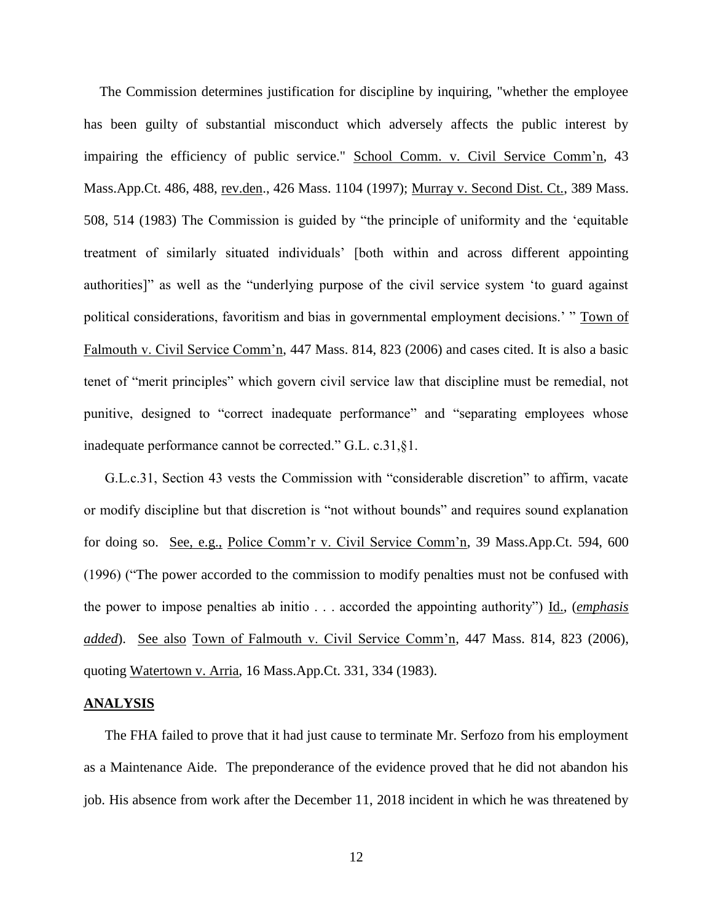The Commission determines justification for discipline by inquiring, "whether the employee has been guilty of substantial misconduct which adversely affects the public interest by impairing the efficiency of public service." School Comm. v. Civil Service Comm'n, 43 Mass.App.Ct. 486, 488, rev.den., 426 Mass. 1104 (1997); Murray v. Second Dist. Ct., 389 Mass. 508, 514 (1983) The Commission is guided by "the principle of uniformity and the 'equitable treatment of similarly situated individuals' [both within and across different appointing authorities]" as well as the "underlying purpose of the civil service system 'to guard against political considerations, favoritism and bias in governmental employment decisions.' " Town of Falmouth v. Civil Service Comm'n, 447 Mass. 814, 823 (2006) and cases cited. It is also a basic tenet of "merit principles" which govern civil service law that discipline must be remedial, not punitive, designed to "correct inadequate performance" and "separating employees whose inadequate performance cannot be corrected." G.L. c.31,§1.

G.L.c.31, Section 43 vests the Commission with "considerable discretion" to affirm, vacate or modify discipline but that discretion is "not without bounds" and requires sound explanation for doing so. See, e.g., Police Comm'r v. Civil Service Comm'n, 39 Mass.App.Ct. 594, 600 (1996) ("The power accorded to the commission to modify penalties must not be confused with the power to impose penalties ab initio . . . accorded the appointing authority") Id., (*emphasis added*). See also Town of Falmouth v. Civil Service Comm'n, 447 Mass. 814, 823 (2006), quoting Watertown v. Arria, 16 Mass.App.Ct. 331, 334 (1983).

#### **ANALYSIS**

The FHA failed to prove that it had just cause to terminate Mr. Serfozo from his employment as a Maintenance Aide. The preponderance of the evidence proved that he did not abandon his job. His absence from work after the December 11, 2018 incident in which he was threatened by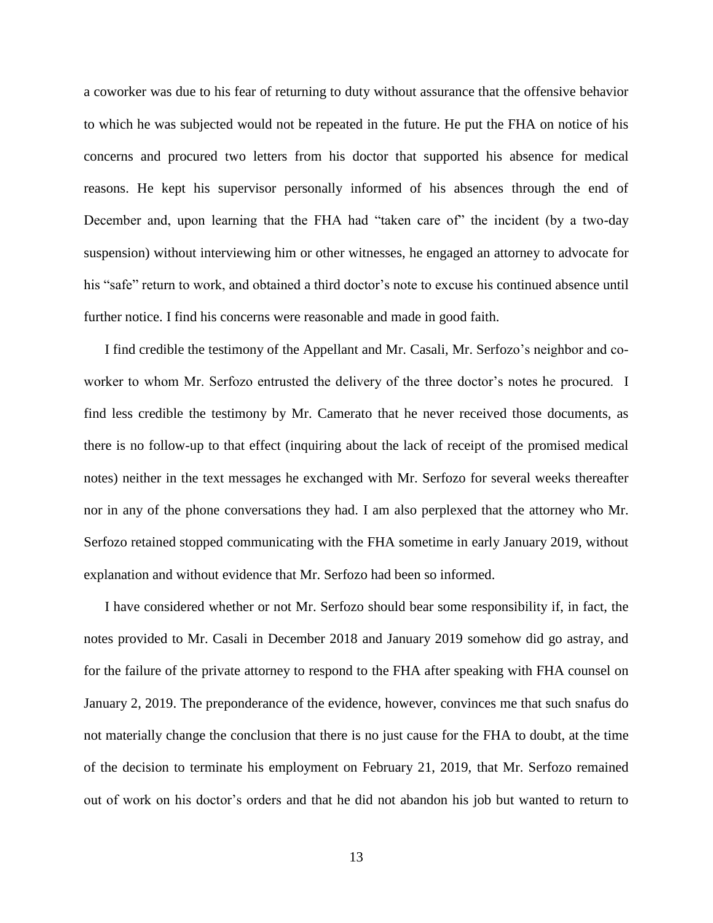a coworker was due to his fear of returning to duty without assurance that the offensive behavior to which he was subjected would not be repeated in the future. He put the FHA on notice of his concerns and procured two letters from his doctor that supported his absence for medical reasons. He kept his supervisor personally informed of his absences through the end of December and, upon learning that the FHA had "taken care of" the incident (by a two-day suspension) without interviewing him or other witnesses, he engaged an attorney to advocate for his "safe" return to work, and obtained a third doctor's note to excuse his continued absence until further notice. I find his concerns were reasonable and made in good faith.

I find credible the testimony of the Appellant and Mr. Casali, Mr. Serfozo's neighbor and coworker to whom Mr. Serfozo entrusted the delivery of the three doctor's notes he procured. I find less credible the testimony by Mr. Camerato that he never received those documents, as there is no follow-up to that effect (inquiring about the lack of receipt of the promised medical notes) neither in the text messages he exchanged with Mr. Serfozo for several weeks thereafter nor in any of the phone conversations they had. I am also perplexed that the attorney who Mr. Serfozo retained stopped communicating with the FHA sometime in early January 2019, without explanation and without evidence that Mr. Serfozo had been so informed.

I have considered whether or not Mr. Serfozo should bear some responsibility if, in fact, the notes provided to Mr. Casali in December 2018 and January 2019 somehow did go astray, and for the failure of the private attorney to respond to the FHA after speaking with FHA counsel on January 2, 2019. The preponderance of the evidence, however, convinces me that such snafus do not materially change the conclusion that there is no just cause for the FHA to doubt, at the time of the decision to terminate his employment on February 21, 2019, that Mr. Serfozo remained out of work on his doctor's orders and that he did not abandon his job but wanted to return to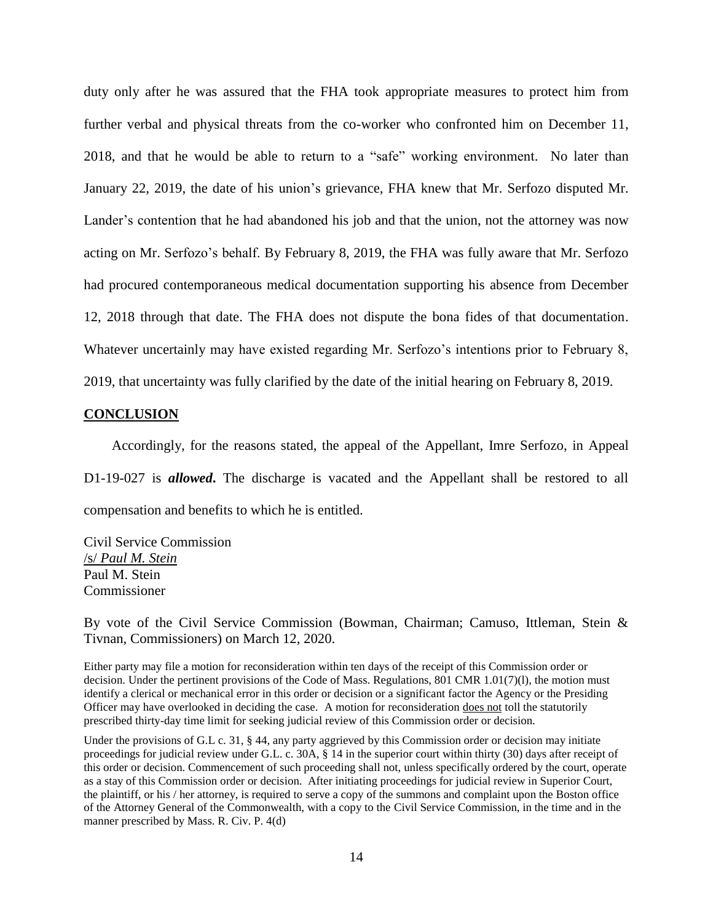duty only after he was assured that the FHA took appropriate measures to protect him from further verbal and physical threats from the co-worker who confronted him on December 11, 2018, and that he would be able to return to a "safe" working environment. No later than January 22, 2019, the date of his union's grievance, FHA knew that Mr. Serfozo disputed Mr. Lander's contention that he had abandoned his job and that the union, not the attorney was now acting on Mr. Serfozo's behalf. By February 8, 2019, the FHA was fully aware that Mr. Serfozo had procured contemporaneous medical documentation supporting his absence from December 12, 2018 through that date. The FHA does not dispute the bona fides of that documentation. Whatever uncertainly may have existed regarding Mr. Serfozo's intentions prior to February 8, 2019, that uncertainty was fully clarified by the date of the initial hearing on February 8, 2019.

### **CONCLUSION**

 Accordingly, for the reasons stated, the appeal of the Appellant, Imre Serfozo, in Appeal D1-19-027 is **allowed**. The discharge is vacated and the Appellant shall be restored to all compensation and benefits to which he is entitled.

Civil Service Commission /s/ *Paul M. Stein* Paul M. Stein Commissioner

By vote of the Civil Service Commission (Bowman, Chairman; Camuso, Ittleman, Stein & Tivnan, Commissioners) on March 12, 2020.

Either party may file a motion for reconsideration within ten days of the receipt of this Commission order or decision. Under the pertinent provisions of the Code of Mass. Regulations, 801 CMR 1.01(7)(l), the motion must identify a clerical or mechanical error in this order or decision or a significant factor the Agency or the Presiding Officer may have overlooked in deciding the case. A motion for reconsideration does not toll the statutorily prescribed thirty-day time limit for seeking judicial review of this Commission order or decision.

Under the provisions of G.L c. 31, § 44, any party aggrieved by this Commission order or decision may initiate proceedings for judicial review under G.L. c. 30A, § 14 in the superior court within thirty (30) days after receipt of this order or decision. Commencement of such proceeding shall not, unless specifically ordered by the court, operate as a stay of this Commission order or decision. After initiating proceedings for judicial review in Superior Court, the plaintiff, or his / her attorney, is required to serve a copy of the summons and complaint upon the Boston office of the Attorney General of the Commonwealth, with a copy to the Civil Service Commission, in the time and in the manner prescribed by Mass. R. Civ. P. 4(d)